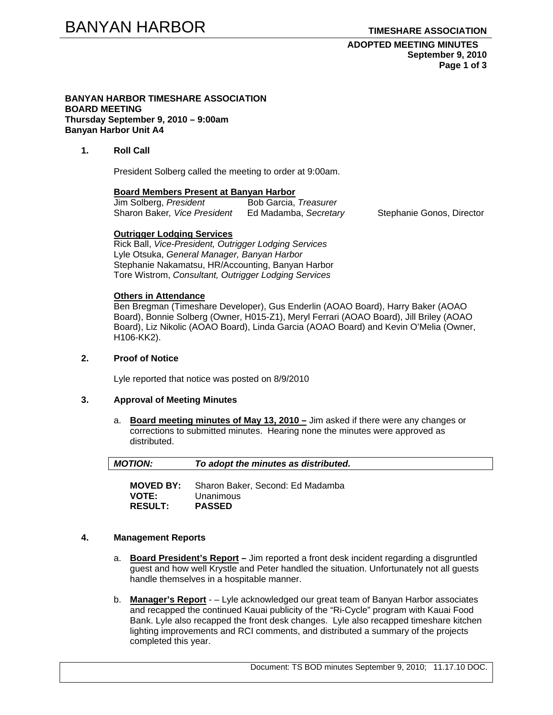## **ADOPTED MEETING MINUTES September 9, 2010 Page 1 of 3**

#### **BANYAN HARBOR TIMESHARE ASSOCIATION BOARD MEETING Thursday September 9, 2010 – 9:00am Banyan Harbor Unit A4**

## **1. Roll Call**

President Solberg called the meeting to order at 9:00am.

#### **Board Members Present at Banyan Harbor**

| Jim Solberg, President       | Bob Garcia, Treasurer |
|------------------------------|-----------------------|
| Sharon Baker, Vice President | Ed Madamba, Secretary |

Stephanie Gonos, Director

#### **Outrigger Lodging Services**

Rick Ball, *Vice-President, Outrigger Lodging Services* Lyle Otsuka, *General Manager, Banyan Harbor*  Stephanie Nakamatsu, HR/Accounting, Banyan Harbor Tore Wistrom, *Consultant, Outrigger Lodging Services* 

## **Others in Attendance**

Ben Bregman (Timeshare Developer), Gus Enderlin (AOAO Board), Harry Baker (AOAO Board), Bonnie Solberg (Owner, H015-Z1), Meryl Ferrari (AOAO Board), Jill Briley (AOAO Board), Liz Nikolic (AOAO Board), Linda Garcia (AOAO Board) and Kevin O'Melia (Owner, H106-KK2).

## **2. Proof of Notice**

Lyle reported that notice was posted on 8/9/2010

#### **3. Approval of Meeting Minutes**

a. **Board meeting minutes of May 13, 2010 –** Jim asked if there were any changes or corrections to submitted minutes. Hearing none the minutes were approved as distributed.

| <b>MOTION:</b> | To adopt the minutes as distributed.              |  |
|----------------|---------------------------------------------------|--|
|                |                                                   |  |
|                | <b>MOVED BY:</b> Sharon Baker, Second: Ed Madamba |  |

**VOTE:** Unanimous **RESULT: PASSED** 

## **4. Management Reports**

- a. **Board President's Report** Jim reported a front desk incident regarding a disgruntled guest and how well Krystle and Peter handled the situation. Unfortunately not all guests handle themselves in a hospitable manner.
- b. **Manager's Report** – Lyle acknowledged our great team of Banyan Harbor associates and recapped the continued Kauai publicity of the "Ri-Cycle" program with Kauai Food Bank. Lyle also recapped the front desk changes. Lyle also recapped timeshare kitchen lighting improvements and RCI comments, and distributed a summary of the projects completed this year.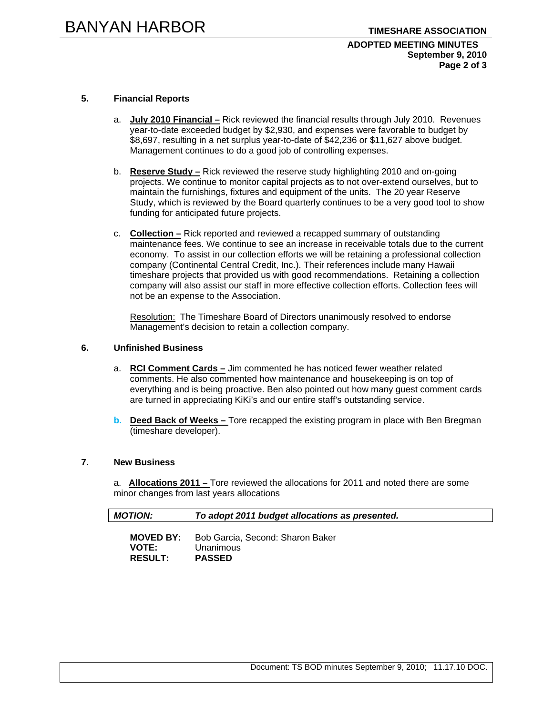## **ADOPTED MEETING MINUTES September 9, 2010 Page 2 of 3**

## **5. Financial Reports**

- a. **July 2010 Financial –** Rick reviewed the financial results through July 2010. Revenues year-to-date exceeded budget by \$2,930, and expenses were favorable to budget by \$8,697, resulting in a net surplus year-to-date of \$42,236 or \$11,627 above budget. Management continues to do a good job of controlling expenses.
- b. **Reserve Study –** Rick reviewed the reserve study highlighting 2010 and on-going projects. We continue to monitor capital projects as to not over-extend ourselves, but to maintain the furnishings, fixtures and equipment of the units. The 20 year Reserve Study, which is reviewed by the Board quarterly continues to be a very good tool to show funding for anticipated future projects.
- c. **Collection –** Rick reported and reviewed a recapped summary of outstanding maintenance fees. We continue to see an increase in receivable totals due to the current economy. To assist in our collection efforts we will be retaining a professional collection company (Continental Central Credit, Inc.). Their references include many Hawaii timeshare projects that provided us with good recommendations. Retaining a collection company will also assist our staff in more effective collection efforts. Collection fees will not be an expense to the Association.

Resolution: The Timeshare Board of Directors unanimously resolved to endorse Management's decision to retain a collection company.

#### **6. Unfinished Business**

- a. **RCI Comment Cards –** Jim commented he has noticed fewer weather related comments. He also commented how maintenance and housekeeping is on top of everything and is being proactive. Ben also pointed out how many guest comment cards are turned in appreciating KiKi's and our entire staff's outstanding service.
- **b.** Deed Back of Weeks Tore recapped the existing program in place with Ben Bregman (timeshare developer).

# **7. New Business**

a. **Allocations 2011 –** Tore reviewed the allocations for 2011 and noted there are some minor changes from last years allocations

| <b>MOTION:</b>   | To adopt 2011 budget allocations as presented. |
|------------------|------------------------------------------------|
| <b>MOVED BY:</b> | Bob Garcia, Second: Sharon Baker               |
| <b>VOTE:</b>     | Unanimous                                      |

**RESULT: PASSED**